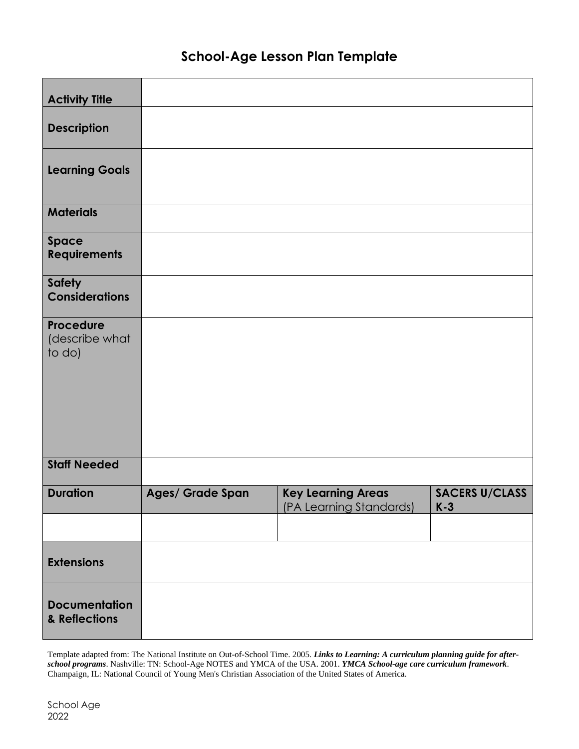## **School-Age Lesson Plan Template**

| <b>Activity Title</b>                        |                  |                                                      |                                |
|----------------------------------------------|------------------|------------------------------------------------------|--------------------------------|
| <b>Description</b>                           |                  |                                                      |                                |
| <b>Learning Goals</b>                        |                  |                                                      |                                |
| <b>Materials</b>                             |                  |                                                      |                                |
| Space<br><b>Requirements</b>                 |                  |                                                      |                                |
| <b>Safety</b><br><b>Considerations</b>       |                  |                                                      |                                |
| <b>Procedure</b><br>(describe what<br>to do) |                  |                                                      |                                |
| <b>Staff Needed</b>                          |                  |                                                      |                                |
| <b>Duration</b>                              | Ages/ Grade Span | <b>Key Learning Areas</b><br>(PA Learning Standards) | <b>SACERS U/CLASS</b><br>$K-3$ |
|                                              |                  |                                                      |                                |
| <b>Extensions</b>                            |                  |                                                      |                                |
| <b>Documentation</b><br>& Reflections        |                  |                                                      |                                |

Template adapted from: The National Institute on Out-of-School Time. 2005. *Links to Learning: A curriculum planning guide for afterschool programs*. Nashville: TN: School-Age NOTES and YMCA of the USA. 2001. *YMCA School-age care curriculum framework*. Champaign, IL: National Council of Young Men's Christian Association of the United States of America.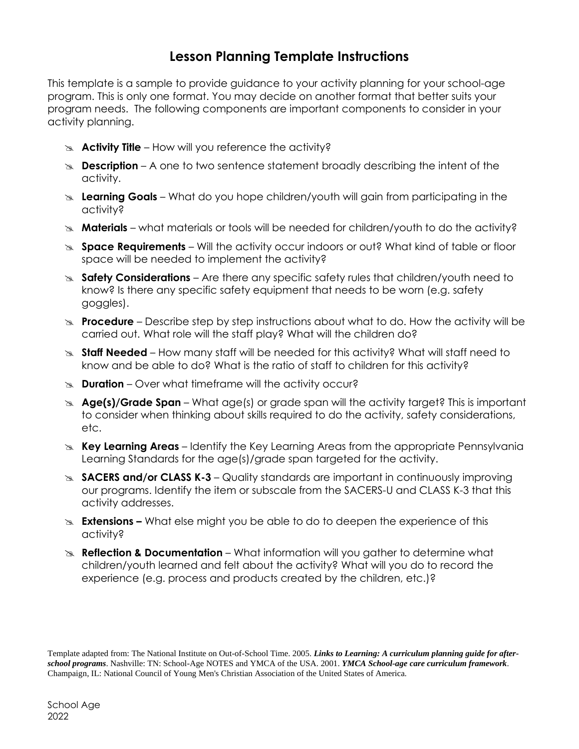## **Lesson Planning Template Instructions**

This template is a sample to provide guidance to your activity planning for your school-age program. This is only one format. You may decide on another format that better suits your program needs. The following components are important components to consider in your activity planning.

- **Activity Title** How will you reference the activity?
- **Description** A one to two sentence statement broadly describing the intent of the activity.
- **Learning Goals** What do you hope children/youth will gain from participating in the activity?
- **Materials** what materials or tools will be needed for children/youth to do the activity?
- **Space Requirements** Will the activity occur indoors or out? What kind of table or floor space will be needed to implement the activity?
- **Safety Considerations** Are there any specific safety rules that children/youth need to know? Is there any specific safety equipment that needs to be worn (e.g. safety goggles).
- **Procedure** Describe step by step instructions about what to do. How the activity will be carried out. What role will the staff play? What will the children do?
- **Staff Needed** How many staff will be needed for this activity? What will staff need to know and be able to do? What is the ratio of staff to children for this activity?
- **Buration** Over what timeframe will the activity occur?
- **Age(s)/Grade Span** What age(s) or grade span will the activity target? This is important to consider when thinking about skills required to do the activity, safety considerations, etc.
- **Key Learning Areas** Identify the Key Learning Areas from the appropriate Pennsylvania Learning Standards for the age(s)/grade span targeted for the activity.
- **SACERS and/or CLASS K-3**  Quality standards are important in continuously improving our programs. Identify the item or subscale from the SACERS-U and CLASS K-3 that this activity addresses.
- **Extensions –** What else might you be able to do to deepen the experience of this activity?
- **Reflection & Documentation** What information will you gather to determine what children/youth learned and felt about the activity? What will you do to record the experience (e.g. process and products created by the children, etc.)?

Template adapted from: The National Institute on Out-of-School Time. 2005. *Links to Learning: A curriculum planning guide for afterschool programs*. Nashville: TN: School-Age NOTES and YMCA of the USA. 2001. *YMCA School-age care curriculum framework*. Champaign, IL: National Council of Young Men's Christian Association of the United States of America.